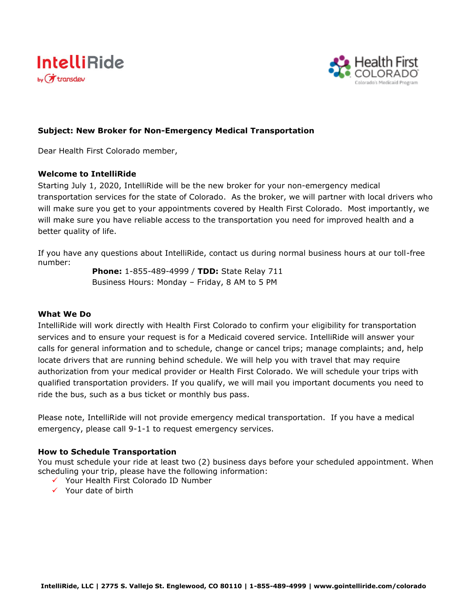



# **Subject: New Broker for Non-Emergency Medical Transportation**

Dear Health First Colorado member,

#### **Welcome to IntelliRide**

Starting July 1, 2020, IntelliRide will be the new broker for your non-emergency medical transportation services for the state of Colorado. As the broker, we will partner with local drivers who will make sure you get to your appointments covered by Health First Colorado. Most importantly, we will make sure you have reliable access to the transportation you need for improved health and a better quality of life.

If you have any questions about IntelliRide, contact us during normal business hours at our toll-free number:

**Phone:** 1-855-489-4999 / **TDD:** State Relay 711 Business Hours: Monday – Friday, 8 AM to 5 PM

## **What We Do**

IntelliRide will work directly with Health First Colorado to confirm your eligibility for transportation services and to ensure your request is for a Medicaid covered service. IntelliRide will answer your calls for general information and to schedule, change or cancel trips; manage complaints; and, help locate drivers that are running behind schedule. We will help you with travel that may require authorization from your medical provider or Health First Colorado. We will schedule your trips with qualified transportation providers. If you qualify, we will mail you important documents you need to ride the bus, such as a bus ticket or monthly bus pass.

Please note, IntelliRide will not provide emergency medical transportation. If you have a medical emergency, please call 9-1-1 to request emergency services.

## **How to Schedule Transportation**

You must schedule your ride at least two (2) business days before your scheduled appointment. When scheduling your trip, please have the following information:

- ✓ Your Health First Colorado ID Number
- ✓ Your date of birth